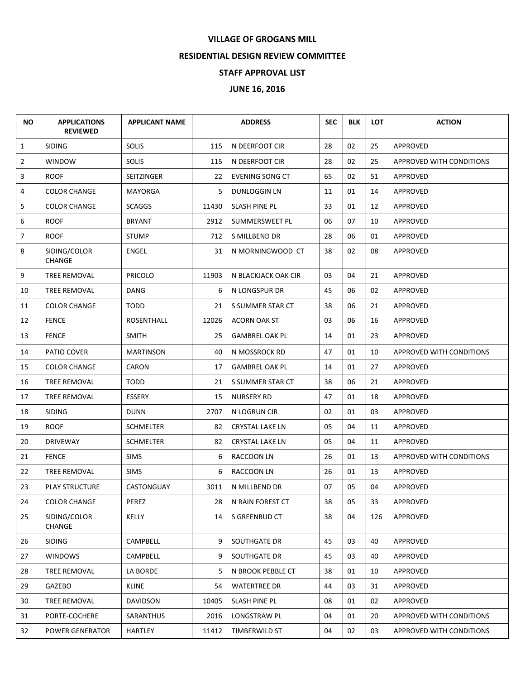## **VILLAGE OF GROGANS MILL**

## **RESIDENTIAL DESIGN REVIEW COMMITTEE**

## **STAFF APPROVAL LIST**

## **JUNE 16, 2016**

| <b>NO</b>      | <b>APPLICATIONS</b><br><b>REVIEWED</b> | <b>APPLICANT NAME</b> |       | <b>ADDRESS</b>         | <b>SEC</b> | <b>BLK</b> | <b>LOT</b> | <b>ACTION</b>                   |
|----------------|----------------------------------------|-----------------------|-------|------------------------|------------|------------|------------|---------------------------------|
| $\mathbf{1}$   | <b>SIDING</b>                          | <b>SOLIS</b>          | 115   | N DEERFOOT CIR         | 28         | 02         | 25         | APPROVED                        |
| $\overline{2}$ | <b>WINDOW</b>                          | <b>SOLIS</b>          | 115   | N DEERFOOT CIR         | 28         | 02         | 25         | APPROVED WITH CONDITIONS        |
| 3              | <b>ROOF</b>                            | SEITZINGER            | 22    | EVENING SONG CT        | 65         | 02         | 51         | APPROVED                        |
| 4              | <b>COLOR CHANGE</b>                    | MAYORGA               | 5.    | DUNLOGGIN LN           | 11         | 01         | 14         | APPROVED                        |
| 5              | <b>COLOR CHANGE</b>                    | <b>SCAGGS</b>         | 11430 | <b>SLASH PINE PL</b>   | 33         | 01         | 12         | APPROVED                        |
| 6              | <b>ROOF</b>                            | <b>BRYANT</b>         | 2912  | SUMMERSWEET PL         | 06         | 07         | 10         | APPROVED                        |
| $\overline{7}$ | <b>ROOF</b>                            | <b>STUMP</b>          | 712   | S MILLBEND DR          | 28         | 06         | 01         | APPROVED                        |
| 8              | SIDING/COLOR<br><b>CHANGE</b>          | ENGEL                 | 31    | N MORNINGWOOD CT       | 38         | 02         | 08         | APPROVED                        |
| 9              | TREE REMOVAL                           | PRICOLO               | 11903 | N BLACKJACK OAK CIR    | 03         | 04         | 21         | APPROVED                        |
| 10             | TREE REMOVAL                           | DANG                  | 6     | N LONGSPUR DR          | 45         | 06         | 02         | APPROVED                        |
| 11             | <b>COLOR CHANGE</b>                    | TODD                  | 21    | S SUMMER STAR CT       | 38         | 06         | 21         | APPROVED                        |
| 12             | <b>FENCE</b>                           | <b>ROSENTHALL</b>     | 12026 | <b>ACORN OAK ST</b>    | 03         | 06         | 16         | APPROVED                        |
| 13             | <b>FENCE</b>                           | <b>SMITH</b>          | 25    | <b>GAMBREL OAK PL</b>  | 14         | 01         | 23         | <b>APPROVED</b>                 |
| 14             | PATIO COVER                            | <b>MARTINSON</b>      | 40    | N MOSSROCK RD          | 47         | 01         | 10         | <b>APPROVED WITH CONDITIONS</b> |
| 15             | <b>COLOR CHANGE</b>                    | CARON                 | 17    | <b>GAMBREL OAK PL</b>  | 14         | 01         | 27         | APPROVED                        |
| 16             | TREE REMOVAL                           | TODD                  | 21    | S SUMMER STAR CT       | 38         | 06         | 21         | APPROVED                        |
| 17             | TREE REMOVAL                           | ESSERY                | 15    | <b>NURSERY RD</b>      | 47         | 01         | 18         | APPROVED                        |
| 18             | <b>SIDING</b>                          | <b>DUNN</b>           | 2707  | N LOGRUN CIR           | 02         | 01         | 03         | APPROVED                        |
| 19             | <b>ROOF</b>                            | <b>SCHMELTER</b>      | 82    | <b>CRYSTAL LAKE LN</b> | 05         | 04         | 11         | APPROVED                        |
| 20             | <b>DRIVEWAY</b>                        | <b>SCHMELTER</b>      | 82    | <b>CRYSTAL LAKE LN</b> | 05         | 04         | 11         | APPROVED                        |
| 21             | <b>FENCE</b>                           | <b>SIMS</b>           | 6     | RACCOON LN             | 26         | 01         | 13         | APPROVED WITH CONDITIONS        |
| 22             | TREE REMOVAL                           | <b>SIMS</b>           | 6     | RACCOON LN             | 26         | 01         | 13         | APPROVED                        |
| 23             | <b>PLAY STRUCTURE</b>                  | CASTONGUAY            | 3011  | N MILLBEND DR          | 07         | 05         | 04         | APPROVED                        |
| 24             | <b>COLOR CHANGE</b>                    | PEREZ                 | 28    | N RAIN FOREST CT       | 38         | 05         | 33         | APPROVED                        |
| 25             | SIDING/COLOR<br><b>CHANGE</b>          | KELLY                 | 14    | S GREENBUD CT          | 38         | 04         | 126        | APPROVED                        |
| 26             | SIDING                                 | CAMPBELL              | 9     | SOUTHGATE DR           | 45         | 03         | 40         | APPROVED                        |
| 27             | <b>WINDOWS</b>                         | CAMPBELL              | 9     | SOUTHGATE DR           | 45         | 03         | 40         | APPROVED                        |
| 28             | TREE REMOVAL                           | LA BORDE              | 5.    | N BROOK PEBBLE CT      | 38         | 01         | 10         | APPROVED                        |
| 29             | GAZEBO                                 | <b>KLINE</b>          | 54    | <b>WATERTREE DR</b>    | 44         | 03         | 31         | APPROVED                        |
| 30             | TREE REMOVAL                           | <b>DAVIDSON</b>       | 10405 | SLASH PINE PL          | 08         | 01         | 02         | APPROVED                        |
| 31             | PORTE-COCHERE                          | SARANTHUS             | 2016  | LONGSTRAW PL           | 04         | 01         | 20         | APPROVED WITH CONDITIONS        |
| 32             | POWER GENERATOR                        | HARTLEY               | 11412 | TIMBERWILD ST          | 04         | 02         | 03         | APPROVED WITH CONDITIONS        |